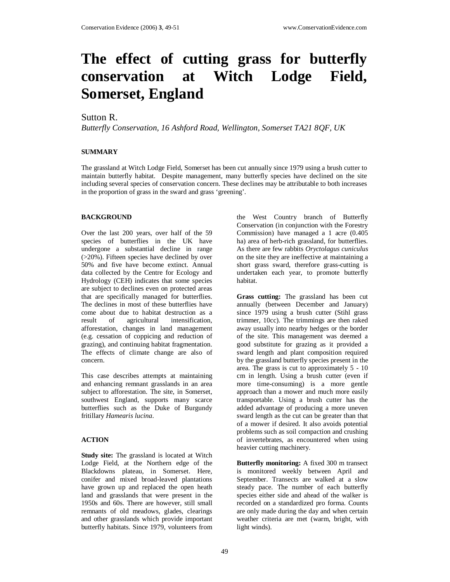# **The effect of cutting grass for butterfly conservation at Witch Lodge Field, Somerset, England**

# Sutton R.

*Butterfly Conservation, 16 Ashford Road, Wellington, Somerset TA21 8QF, UK* 

## **SUMMARY**

The grassland at Witch Lodge Field, Somerset has been cut annually since 1979 using a brush cutter to maintain butterfly habitat. Despite management, many butterfly species have declined on the site including several species of conservation concern. These declines may be attributable to both increases in the proportion of grass in the sward and grass 'greening'.

#### **BACKGROUND**

Over the last 200 years, over half of the 59 species of butterflies in the UK have undergone a substantial decline in range (>20%). Fifteen species have declined by over 50% and five have become extinct. Annual data collected by the Centre for Ecology and Hydrology (CEH) indicates that some species are subject to declines even on protected areas that are specifically managed for butterflies. The declines in most of these butterflies have come about due to habitat destruction as a result of agricultural intensification, afforestation, changes in land management (e.g. cessation of coppicing and reduction of grazing), and continuing habitat fragmentation. The effects of climate change are also of concern.

This case describes attempts at maintaining and enhancing remnant grasslands in an area subject to afforestation. The site, in Somerset, southwest England, supports many scarce butterflies such as the Duke of Burgundy fritillary *Hamearis lucina*.

## **ACTION**

**Study site:** The grassland is located at Witch Lodge Field, at the Northern edge of the Blackdowns plateau, in Somerset. Here, conifer and mixed broad-leaved plantations have grown up and replaced the open heath land and grasslands that were present in the 1950s and 60s. There are however, still small remnants of old meadows, glades, clearings and other grasslands which provide important butterfly habitats. Since 1979, volunteers from

the West Country branch of Butterfly Conservation (in conjunction with the Forestry Commission) have managed a 1 acre (0.405 ha) area of herb-rich grassland, for butterflies. As there are few rabbits *Oryctolagus cuniculus* on the site they are ineffective at maintaining a short grass sward, therefore grass-cutting is undertaken each year, to promote butterfly habitat.

**Grass cutting:** The grassland has been cut annually (between December and January) since 1979 using a brush cutter (Stihl grass trimmer, 10cc). The trimmings are then raked away usually into nearby hedges or the border of the site. This management was deemed a good substitute for grazing as it provided a sward length and plant composition required by the grassland butterfly species present in the area. The grass is cut to approximately 5 - 10 cm in length. Using a brush cutter (even if more time-consuming) is a more gentle approach than a mower and much more easily transportable. Using a brush cutter has the added advantage of producing a more uneven sward length as the cut can be greater than that of a mower if desired. It also avoids potential problems such as soil compaction and crushing of invertebrates, as encountered when using heavier cutting machinery.

**Butterfly monitoring:** A fixed 300 m transect is monitored weekly between April and September. Transects are walked at a slow steady pace. The number of each butterfly species either side and ahead of the walker is recorded on a standardized pro forma. Counts are only made during the day and when certain weather criteria are met (warm, bright, with light winds).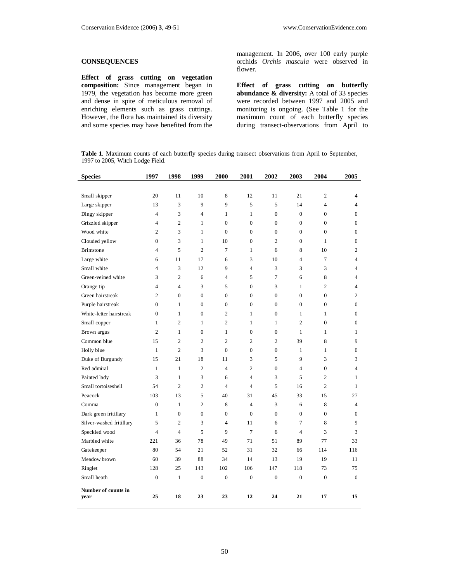# **CONSEQUENCES**

**Effect of grass cutting on vegetation composition:** Since management began in 1979, the vegetation has become more green and dense in spite of meticulous removal of enriching elements such as grass cuttings. However, the flora has maintained its diversity and some species may have benefited from the management. In 2006, over 100 early purple orchids *Orchis mascula* were observed in flower.

**Effect of grass cutting on butterfly abundance & diversity:** A total of 33 species were recorded between 1997 and 2005 and monitoring is ongoing. (See Table 1 for the maximum count of each butterfly species during transect-observations from April to

**Table 1**. Maximum counts of each butterfly species during transect observations from April to September, 1997 to 2005, Witch Lodge Field.

| <b>Species</b>              | 1997           | 1998                     | 1999             | 2000             | 2001             | 2002             | 2003             | 2004             | 2005             |
|-----------------------------|----------------|--------------------------|------------------|------------------|------------------|------------------|------------------|------------------|------------------|
|                             |                |                          |                  |                  |                  |                  |                  |                  |                  |
| Small skipper               | 20             | 11                       | 10               | 8                | 12               | 11               | 21               | $\mathfrak{2}$   | 4                |
| Large skipper               | 13             | 3                        | 9                | 9                | 5                | 5                | 14               | $\overline{4}$   | $\overline{4}$   |
| Dingy skipper               | 4              | 3                        | 4                | $\mathbf{1}$     | $\mathbf{1}$     | $\boldsymbol{0}$ | $\mathbf{0}$     | $\boldsymbol{0}$ | $\boldsymbol{0}$ |
| Grizzled skipper            | 4              | $\overline{c}$           | $\mathbf{1}$     | $\overline{0}$   | $\overline{0}$   | $\mathbf{0}$     | $\overline{0}$   | $\overline{0}$   | $\mathbf{0}$     |
| Wood white                  | $\overline{c}$ | 3                        | $\mathbf{1}$     | $\boldsymbol{0}$ | $\overline{0}$   | $\boldsymbol{0}$ | $\boldsymbol{0}$ | $\mathbf{0}$     | $\boldsymbol{0}$ |
| Clouded yellow              | $\overline{0}$ | 3                        | $\mathbf{1}$     | 10               | $\mathbf{0}$     | $\overline{2}$   | $\overline{0}$   | $\mathbf{1}$     | $\boldsymbol{0}$ |
| Brimstone                   | 4              | 5                        | $\overline{c}$   | $\tau$           | $\mathbf{1}$     | 6                | 8                | 10               | $\mathbf{2}$     |
| Large white                 | 6              | 11                       | 17               | 6                | 3                | 10               | $\overline{4}$   | $\tau$           | $\overline{4}$   |
| Small white                 | $\overline{4}$ | 3                        | 12               | 9                | $\overline{4}$   | 3                | 3                | 3                | $\overline{4}$   |
| Green-veined white          | 3              | $\mathbf{2}$             | 6                | $\overline{4}$   | 5                | 7                | 6                | 8                | $\overline{4}$   |
| Orange tip                  | 4              | $\overline{\mathcal{L}}$ | 3                | 5                | $\overline{0}$   | 3                | $\mathbf{1}$     | $\overline{c}$   | $\overline{4}$   |
| Green hairstreak            | 2              | $\overline{0}$           | $\boldsymbol{0}$ | $\overline{0}$   | $\mathbf{0}$     | $\mathbf{0}$     | $\mathbf{0}$     | $\mathbf{0}$     | $\mathfrak{2}$   |
| Purple hairstreak           | $\overline{0}$ | $\mathbf{1}$             | $\overline{0}$   | $\overline{0}$   | $\mathbf{0}$     | $\mathbf{0}$     | $\overline{0}$   | $\mathbf{0}$     | $\mathbf{0}$     |
| White-letter hairstreak     | $\overline{0}$ | $\mathbf{1}$             | $\boldsymbol{0}$ | $\mathbf{2}$     | $\mathbf{1}$     | $\mathbf{0}$     | $\mathbf{1}$     | 1                | $\boldsymbol{0}$ |
| Small copper                | $\mathbf{1}$   | $\overline{c}$           | $\mathbf{1}$     | $\overline{2}$   | $\mathbf{1}$     | 1                | $\overline{c}$   | $\Omega$         | $\mathbf{0}$     |
| Brown argus                 | 2              | $\mathbf{1}$             | $\boldsymbol{0}$ | $\mathbf{1}$     | $\boldsymbol{0}$ | $\boldsymbol{0}$ | $\mathbf{1}$     | 1                | $\mathbf{1}$     |
| Common blue                 | 15             | $\overline{c}$           | $\overline{c}$   | $\overline{2}$   | $\overline{2}$   | $\overline{2}$   | 39               | 8                | 9                |
| Holly blue                  | $\mathbf{1}$   | $\overline{c}$           | 3                | $\boldsymbol{0}$ | $\boldsymbol{0}$ | $\boldsymbol{0}$ | $\mathbf{1}$     | $\mathbf{1}$     | $\boldsymbol{0}$ |
| Duke of Burgundy            | 15             | 21                       | 18               | 11               | 3                | 5                | 9                | 3                | 3                |
| Red admiral                 | $\mathbf{1}$   | $\mathbf{1}$             | $\overline{c}$   | $\overline{4}$   | $\mathbf{2}$     | $\boldsymbol{0}$ | $\overline{4}$   | $\boldsymbol{0}$ | $\overline{4}$   |
| Painted lady                | 3              | $\mathbf{1}$             | 3                | 6                | $\overline{4}$   | 3                | 5                | $\overline{2}$   | 1                |
| Small tortoiseshell         | 54             | $\overline{c}$           | $\overline{c}$   | $\overline{4}$   | $\overline{4}$   | 5                | 16               | $\overline{2}$   | $\mathbf{1}$     |
| Peacock                     | 103            | 13                       | 5                | 40               | 31               | 45               | 33               | 15               | 27               |
| Comma                       | $\overline{0}$ | $\mathbf{1}$             | $\overline{c}$   | 8                | $\overline{4}$   | 3                | 6                | 8                | $\overline{4}$   |
| Dark green fritillary       | 1              | 0                        | $\boldsymbol{0}$ | 0                | $\mathbf{0}$     | $\boldsymbol{0}$ | $\boldsymbol{0}$ | $\boldsymbol{0}$ | $\mathbf{0}$     |
| Silver-washed fritillary    | 5              | $\overline{c}$           | 3                | $\overline{4}$   | 11               | 6                | 7                | 8                | 9                |
| Speckled wood               | 4              | $\overline{4}$           | 5                | 9                | 7                | 6                | $\overline{4}$   | 3                | 3                |
| Marbled white               | 221            | 36                       | 78               | 49               | 71               | 51               | 89               | 77               | 33               |
| Gatekeeper                  | 80             | 54                       | 21               | 52               | 31               | 32               | 66               | 114              | 116              |
| Meadow brown                | 60             | 39                       | 88               | 34               | 14               | 13               | 19               | 19               | 11               |
| Ringlet                     | 128            | 25                       | 143              | 102              | 106              | 147              | 118              | 73               | 75               |
| Small heath                 | $\mathbf{0}$   | $\mathbf{1}$             | $\boldsymbol{0}$ | $\mathbf{0}$     | $\mathbf{0}$     | $\overline{0}$   | $\mathbf{0}$     | $\mathbf{0}$     | $\mathbf{0}$     |
| Number of counts in<br>year | 25             | 18                       | 23               | 23               | 12               | 24               | 21               | 17               | 15               |